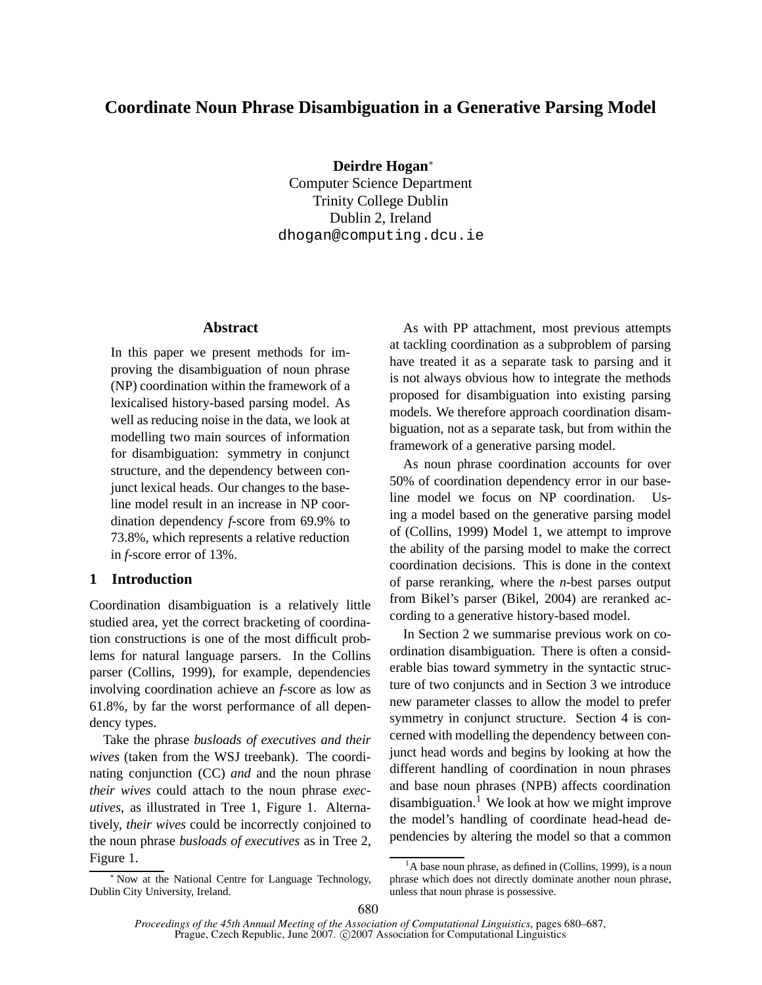# **Coordinate Noun Phrase Disambiguation in a Generative Parsing Model**

**Deirdre Hogan**<sup>∗</sup>

Computer Science Department Trinity College Dublin Dublin 2, Ireland dhogan@computing.dcu.ie

## **Abstract**

In this paper we present methods for improving the disambiguation of noun phrase (NP) coordination within the framework of a lexicalised history-based parsing model. As well as reducing noise in the data, we look at modelling two main sources of information for disambiguation: symmetry in conjunct structure, and the dependency between conjunct lexical heads. Our changes to the baseline model result in an increase in NP coordination dependency *f*-score from 69.9% to 73.8%, which represents a relative reduction in *f*-score error of 13%.

### **1 Introduction**

Coordination disambiguation is a relatively little studied area, yet the correct bracketing of coordination constructions is one of the most difficult problems for natural language parsers. In the Collins parser (Collins, 1999), for example, dependencies involving coordination achieve an *f*-score as low as 61.8%, by far the worst performance of all dependency types.

Take the phrase *busloads of executives and their wives* (taken from the WSJ treebank). The coordinating conjunction (CC) *and* and the noun phrase *their wives* could attach to the noun phrase *executives*, as illustrated in Tree 1, Figure 1. Alternatively, *their wives* could be incorrectly conjoined to the noun phrase *busloads of executives* as in Tree 2, Figure 1.

As with PP attachment, most previous attempts at tackling coordination as a subproblem of parsing have treated it as a separate task to parsing and it is not always obvious how to integrate the methods proposed for disambiguation into existing parsing models. We therefore approach coordination disambiguation, not as a separate task, but from within the framework of a generative parsing model.

As noun phrase coordination accounts for over 50% of coordination dependency error in our baseline model we focus on NP coordination. Using a model based on the generative parsing model of (Collins, 1999) Model 1, we attempt to improve the ability of the parsing model to make the correct coordination decisions. This is done in the context of parse reranking, where the *n*-best parses output from Bikel's parser (Bikel, 2004) are reranked according to a generative history-based model.

In Section 2 we summarise previous work on coordination disambiguation. There is often a considerable bias toward symmetry in the syntactic structure of two conjuncts and in Section 3 we introduce new parameter classes to allow the model to prefer symmetry in conjunct structure. Section 4 is concerned with modelling the dependency between conjunct head words and begins by looking at how the different handling of coordination in noun phrases and base noun phrases (NPB) affects coordination disambiguation.<sup>1</sup> We look at how we might improve the model's handling of coordinate head-head dependencies by altering the model so that a common

<sup>∗</sup> Now at the National Centre for Language Technology, Dublin City University, Ireland.

 $<sup>1</sup>A$  base noun phrase, as defined in (Collins, 1999), is a noun</sup> phrase which does not directly dominate another noun phrase, unless that noun phrase is possessive.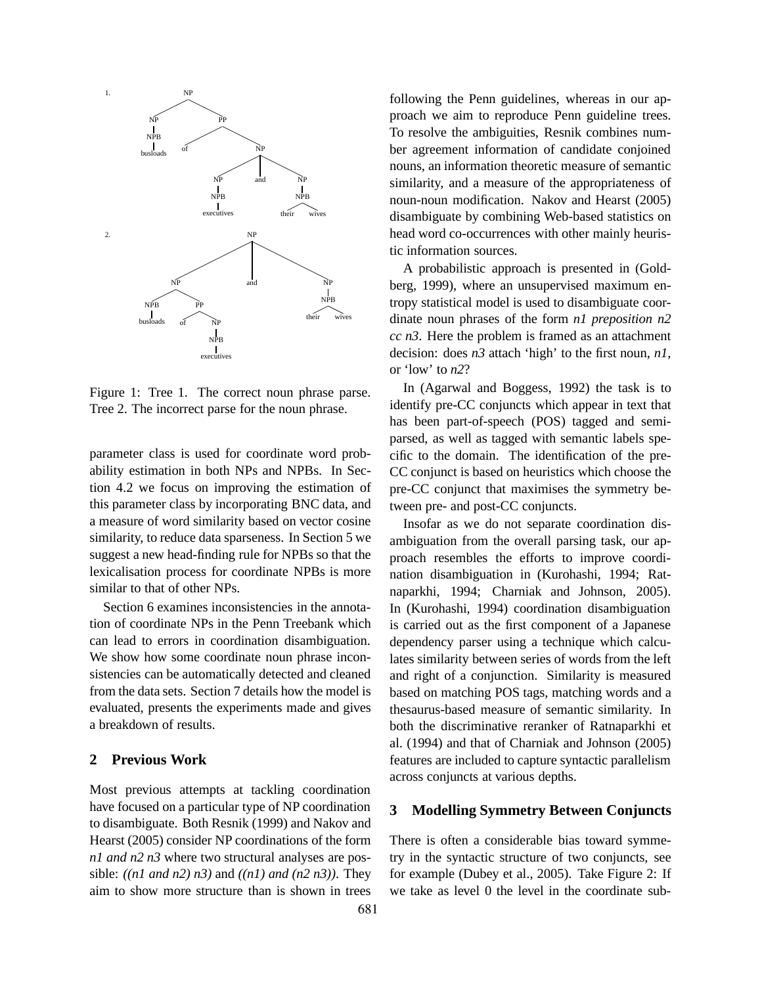

Figure 1: Tree 1. The correct noun phrase parse. Tree 2. The incorrect parse for the noun phrase.

parameter class is used for coordinate word probability estimation in both NPs and NPBs. In Section 4.2 we focus on improving the estimation of this parameter class by incorporating BNC data, and a measure of word similarity based on vector cosine similarity, to reduce data sparseness. In Section 5 we suggest a new head-finding rule for NPBs so that the lexicalisation process for coordinate NPBs is more similar to that of other NPs.

Section 6 examines inconsistencies in the annotation of coordinate NPs in the Penn Treebank which can lead to errors in coordination disambiguation. We show how some coordinate noun phrase inconsistencies can be automatically detected and cleaned from the data sets. Section 7 details how the model is evaluated, presents the experiments made and gives a breakdown of results.

### **2 Previous Work**

Most previous attempts at tackling coordination have focused on a particular type of NP coordination to disambiguate. Both Resnik (1999) and Nakov and Hearst (2005) consider NP coordinations of the form *n1 and n2 n3* where two structural analyses are possible: *((n1 and n2) n3)* and *((n1) and (n2 n3))*. They aim to show more structure than is shown in trees

following the Penn guidelines, whereas in our approach we aim to reproduce Penn guideline trees. To resolve the ambiguities, Resnik combines number agreement information of candidate conjoined nouns, an information theoretic measure of semantic similarity, and a measure of the appropriateness of noun-noun modification. Nakov and Hearst (2005) disambiguate by combining Web-based statistics on head word co-occurrences with other mainly heuristic information sources.

A probabilistic approach is presented in (Goldberg, 1999), where an unsupervised maximum entropy statistical model is used to disambiguate coordinate noun phrases of the form *n1 preposition n2 cc n3*. Here the problem is framed as an attachment decision: does *n3* attach 'high' to the first noun, *n1*, or 'low' to *n2*?

In (Agarwal and Boggess, 1992) the task is to identify pre-CC conjuncts which appear in text that has been part-of-speech (POS) tagged and semiparsed, as well as tagged with semantic labels specific to the domain. The identification of the pre-CC conjunct is based on heuristics which choose the pre-CC conjunct that maximises the symmetry between pre- and post-CC conjuncts.

Insofar as we do not separate coordination disambiguation from the overall parsing task, our approach resembles the efforts to improve coordination disambiguation in (Kurohashi, 1994; Ratnaparkhi, 1994; Charniak and Johnson, 2005). In (Kurohashi, 1994) coordination disambiguation is carried out as the first component of a Japanese dependency parser using a technique which calculates similarity between series of words from the left and right of a conjunction. Similarity is measured based on matching POS tags, matching words and a thesaurus-based measure of semantic similarity. In both the discriminative reranker of Ratnaparkhi et al. (1994) and that of Charniak and Johnson (2005) features are included to capture syntactic parallelism across conjuncts at various depths.

## **3 Modelling Symmetry Between Conjuncts**

There is often a considerable bias toward symmetry in the syntactic structure of two conjuncts, see for example (Dubey et al., 2005). Take Figure 2: If we take as level 0 the level in the coordinate sub-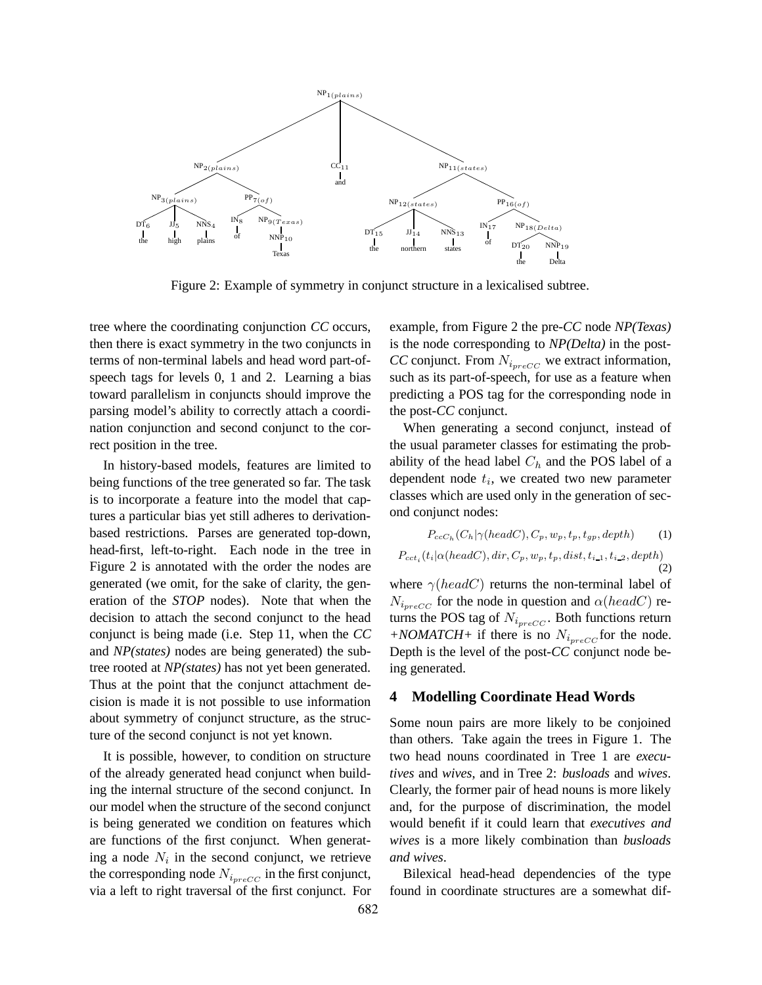

Figure 2: Example of symmetry in conjunct structure in a lexicalised subtree.

tree where the coordinating conjunction *CC* occurs, then there is exact symmetry in the two conjuncts in terms of non-terminal labels and head word part-ofspeech tags for levels 0, 1 and 2. Learning a bias toward parallelism in conjuncts should improve the parsing model's ability to correctly attach a coordination conjunction and second conjunct to the correct position in the tree.

In history-based models, features are limited to being functions of the tree generated so far. The task is to incorporate a feature into the model that captures a particular bias yet still adheres to derivationbased restrictions. Parses are generated top-down, head-first, left-to-right. Each node in the tree in Figure 2 is annotated with the order the nodes are generated (we omit, for the sake of clarity, the generation of the *STOP* nodes). Note that when the decision to attach the second conjunct to the head conjunct is being made (i.e. Step 11, when the *CC* and *NP(states)* nodes are being generated) the subtree rooted at *NP(states)* has not yet been generated. Thus at the point that the conjunct attachment decision is made it is not possible to use information about symmetry of conjunct structure, as the structure of the second conjunct is not yet known.

It is possible, however, to condition on structure of the already generated head conjunct when building the internal structure of the second conjunct. In our model when the structure of the second conjunct is being generated we condition on features which are functions of the first conjunct. When generating a node  $N_i$  in the second conjunct, we retrieve the corresponding node  $N_{i_{precC}}$  in the first conjunct, via a left to right traversal of the first conjunct. For example, from Figure 2 the pre-*CC* node *NP(Texas)* is the node corresponding to *NP(Delta)* in the post-*CC* conjunct. From  $N_{i_{precC}}$  we extract information, such as its part-of-speech, for use as a feature when predicting a POS tag for the corresponding node in the post-*CC* conjunct.

When generating a second conjunct, instead of the usual parameter classes for estimating the probability of the head label  $C_h$  and the POS label of a dependent node  $t_i$ , we created two new parameter classes which are used only in the generation of second conjunct nodes:

$$
P_{ccC_h}(C_h|\gamma(headC), C_p, w_p, t_p, t_{gp}, depth) \qquad (1)
$$

$$
P_{cct_i}(t_i | \alpha(headC), dir, C_p, w_p, t_p, dist, t_{i-1}, t_{i-2}, depth)
$$
\n
$$
(2)
$$

where  $\gamma(headC)$  returns the non-terminal label of  $N_{i_{precC}}$  for the node in question and  $\alpha(headC)$  returns the POS tag of  $N_{i_{precC}}$ . Both functions return  $+NOMATCH+$  if there is no  $N_{i_{prec}C}$  for the node. Depth is the level of the post-*CC* conjunct node being generated.

### **4 Modelling Coordinate Head Words**

Some noun pairs are more likely to be conjoined than others. Take again the trees in Figure 1. The two head nouns coordinated in Tree 1 are *executives* and *wives*, and in Tree 2: *busloads* and *wives*. Clearly, the former pair of head nouns is more likely and, for the purpose of discrimination, the model would benefit if it could learn that *executives and wives* is a more likely combination than *busloads and wives*.

Bilexical head-head dependencies of the type found in coordinate structures are a somewhat dif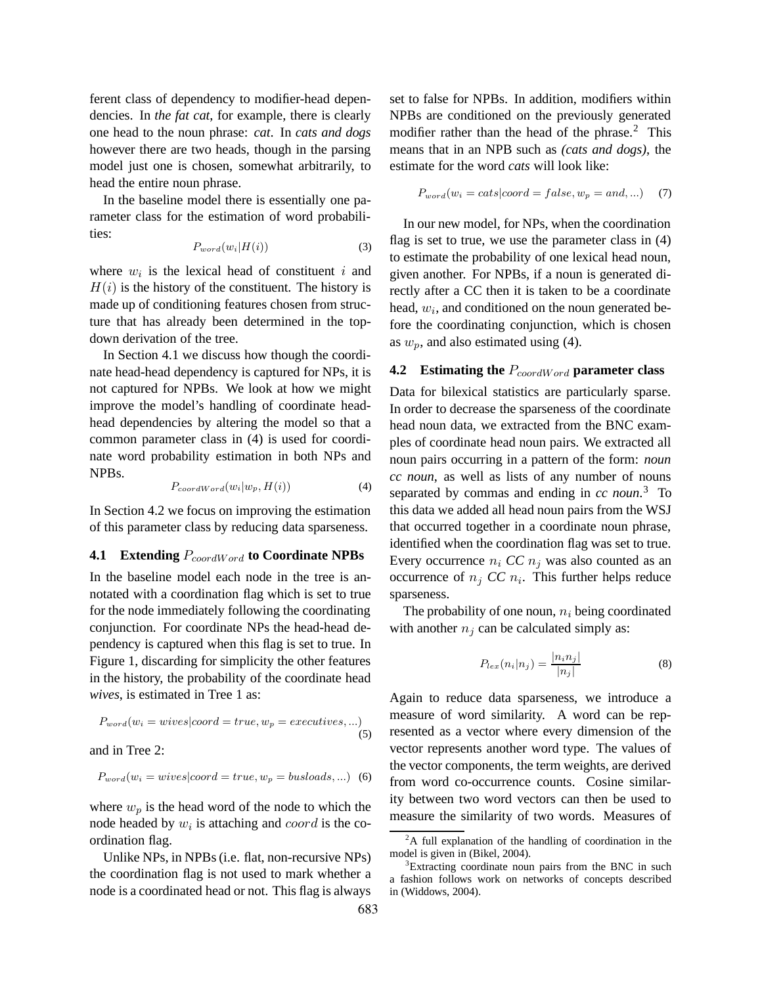ferent class of dependency to modifier-head dependencies. In *the fat cat*, for example, there is clearly one head to the noun phrase: *cat*. In *cats and dogs* however there are two heads, though in the parsing model just one is chosen, somewhat arbitrarily, to head the entire noun phrase.

In the baseline model there is essentially one parameter class for the estimation of word probabilities:

$$
P_{word}(w_i|H(i))\tag{3}
$$

where  $w_i$  is the lexical head of constituent i and  $H(i)$  is the history of the constituent. The history is made up of conditioning features chosen from structure that has already been determined in the topdown derivation of the tree.

In Section 4.1 we discuss how though the coordinate head-head dependency is captured for NPs, it is not captured for NPBs. We look at how we might improve the model's handling of coordinate headhead dependencies by altering the model so that a common parameter class in (4) is used for coordinate word probability estimation in both NPs and NPBs.

$$
P_{coordWord}(w_i|w_p, H(i))\tag{4}
$$

In Section 4.2 we focus on improving the estimation of this parameter class by reducing data sparseness.

## **4.1 Extending** PcoordWord **to Coordinate NPBs**

In the baseline model each node in the tree is annotated with a coordination flag which is set to true for the node immediately following the coordinating conjunction. For coordinate NPs the head-head dependency is captured when this flag is set to true. In Figure 1, discarding for simplicity the other features in the history, the probability of the coordinate head *wives*, is estimated in Tree 1 as:

$$
P_{word}(w_i = wives | coord = true, w_p = execatives, ...)
$$
\n(5)

and in Tree 2:

$$
P_{word}(w_i = wives|coord = true, w_p = busloads, ...)
$$
 (6)

where  $w_p$  is the head word of the node to which the node headed by  $w_i$  is attaching and  $coord$  is the coordination flag.

Unlike NPs, in NPBs(i.e. flat, non-recursive NPs) the coordination flag is not used to mark whether a node is a coordinated head or not. This flag is always

set to false for NPBs. In addition, modifiers within NPBs are conditioned on the previously generated modifier rather than the head of the phrase.<sup>2</sup> This means that in an NPB such as *(cats and dogs)*, the estimate for the word *cats* will look like:

$$
P_{word}(w_i = cats | coord = false, w_p = and, ...)
$$
 (7)

In our new model, for NPs, when the coordination flag is set to true, we use the parameter class in (4) to estimate the probability of one lexical head noun, given another. For NPBs, if a noun is generated directly after a CC then it is taken to be a coordinate head,  $w_i$ , and conditioned on the noun generated before the coordinating conjunction, which is chosen as  $w_p$ , and also estimated using (4).

## **4.2 Estimating the**  $P_{coordWord}$  **parameter class**

Data for bilexical statistics are particularly sparse. In order to decrease the sparseness of the coordinate head noun data, we extracted from the BNC examples of coordinate head noun pairs. We extracted all noun pairs occurring in a pattern of the form: *noun cc noun*, as well as lists of any number of nouns separated by commas and ending in *cc noun*. <sup>3</sup> To this data we added all head noun pairs from the WSJ that occurred together in a coordinate noun phrase, identified when the coordination flag was set to true. Every occurrence  $n_i$  *CC*  $n_j$  was also counted as an occurrence of  $n_j$  *CC*  $n_i$ . This further helps reduce sparseness.

The probability of one noun,  $n_i$  being coordinated with another  $n_i$  can be calculated simply as:

$$
P_{lex}(n_i|n_j) = \frac{|n_i n_j|}{|n_j|} \tag{8}
$$

Again to reduce data sparseness, we introduce a measure of word similarity. A word can be represented as a vector where every dimension of the vector represents another word type. The values of the vector components, the term weights, are derived from word co-occurrence counts. Cosine similarity between two word vectors can then be used to measure the similarity of two words. Measures of

<sup>&</sup>lt;sup>2</sup>A full explanation of the handling of coordination in the model is given in (Bikel, 2004).

<sup>&</sup>lt;sup>3</sup>Extracting coordinate noun pairs from the BNC in such a fashion follows work on networks of concepts described in (Widdows, 2004).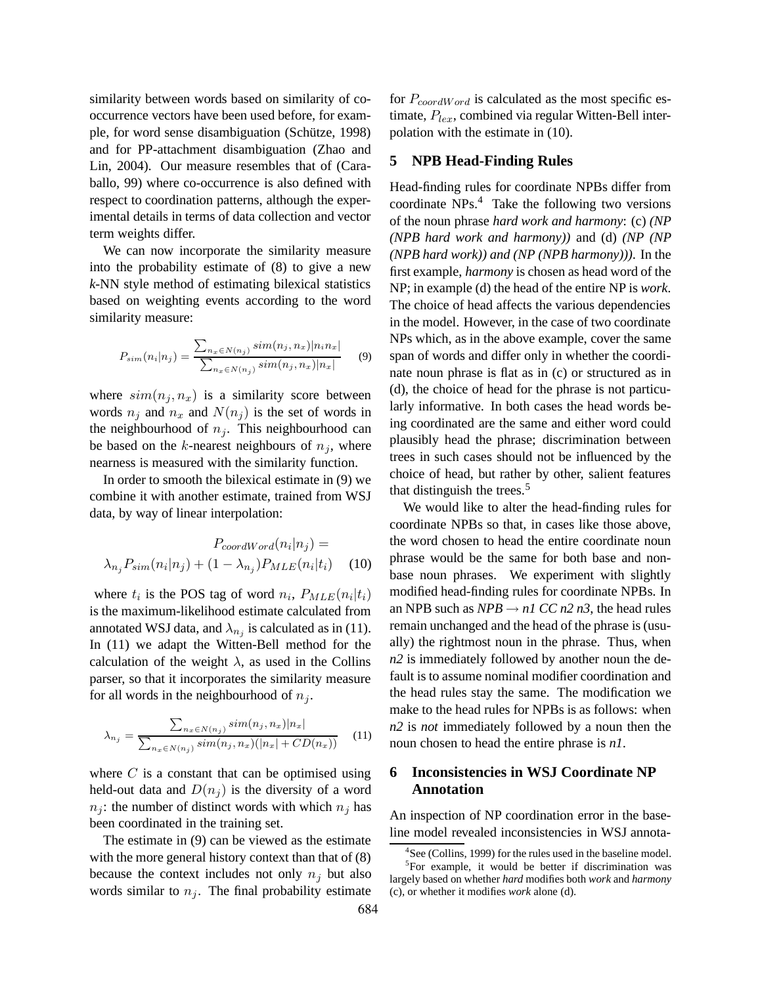similarity between words based on similarity of cooccurrence vectors have been used before, for example, for word sense disambiguation (Schütze, 1998) and for PP-attachment disambiguation (Zhao and Lin, 2004). Our measure resembles that of (Caraballo, 99) where co-occurrence is also defined with respect to coordination patterns, although the experimental details in terms of data collection and vector term weights differ.

We can now incorporate the similarity measure into the probability estimate of (8) to give a new *k*-NN style method of estimating bilexical statistics based on weighting events according to the word similarity measure:

$$
P_{sim}(n_i|n_j) = \frac{\sum_{n_x \in N(n_j)} sim(n_j, n_x) |n_i n_x|}{\sum_{n_x \in N(n_j)} sim(n_j, n_x) |n_x|}
$$
(9)

where  $sim(n<sub>j</sub>, n<sub>x</sub>)$  is a similarity score between words  $n_i$  and  $n_x$  and  $N(n_i)$  is the set of words in the neighbourhood of  $n_j$ . This neighbourhood can be based on the k-nearest neighbours of  $n_j$ , where nearness is measured with the similarity function.

In order to smooth the bilexical estimate in (9) we combine it with another estimate, trained from WSJ data, by way of linear interpolation:

$$
P_{coordWord}(n_i|n_j) = \lambda_{n_j} P_{sim}(n_i|n_j) + (1 - \lambda_{n_j}) P_{MLE}(n_i|t_i)
$$
 (10)

where  $t_i$  is the POS tag of word  $n_i$ ,  $P_{MLE}(n_i|t_i)$ is the maximum-likelihood estimate calculated from annotated WSJ data, and  $\lambda_{n_j}$  is calculated as in (11). In (11) we adapt the Witten-Bell method for the calculation of the weight  $\lambda$ , as used in the Collins parser, so that it incorporates the similarity measure for all words in the neighbourhood of  $n_i$ .

$$
\lambda_{n_j} = \frac{\sum_{n_x \in N(n_j)} sim(n_j, n_x) |n_x|}{\sum_{n_x \in N(n_j)} sim(n_j, n_x) (|n_x| + CD(n_x))}
$$
(11)

where  $C$  is a constant that can be optimised using held-out data and  $D(n_i)$  is the diversity of a word  $n<sub>i</sub>$ : the number of distinct words with which  $n<sub>i</sub>$  has been coordinated in the training set.

The estimate in (9) can be viewed as the estimate with the more general history context than that of  $(8)$ because the context includes not only  $n_j$  but also words similar to  $n<sub>j</sub>$ . The final probability estimate

for  $P_{coordWord}$  is calculated as the most specific estimate,  $P_{lex}$ , combined via regular Witten-Bell interpolation with the estimate in (10).

### **5 NPB Head-Finding Rules**

Head-finding rules for coordinate NPBs differ from coordinate NPs.<sup>4</sup> Take the following two versions of the noun phrase *hard work and harmony*: (c) *(NP (NPB hard work and harmony))* and (d) *(NP (NP (NPB hard work)) and (NP (NPB harmony)))*. In the first example, *harmony* is chosen as head word of the NP; in example (d) the head of the entire NP is *work*. The choice of head affects the various dependencies in the model. However, in the case of two coordinate NPs which, as in the above example, cover the same span of words and differ only in whether the coordinate noun phrase is flat as in (c) or structured as in (d), the choice of head for the phrase is not particularly informative. In both cases the head words being coordinated are the same and either word could plausibly head the phrase; discrimination between trees in such cases should not be influenced by the choice of head, but rather by other, salient features that distinguish the trees.<sup>5</sup>

We would like to alter the head-finding rules for coordinate NPBs so that, in cases like those above, the word chosen to head the entire coordinate noun phrase would be the same for both base and nonbase noun phrases. We experiment with slightly modified head-finding rules for coordinate NPBs. In an NPB such as  $NPB \rightarrow nI$  *CC n2 n3*, the head rules remain unchanged and the head of the phrase is (usually) the rightmost noun in the phrase. Thus, when *n2* is immediately followed by another noun the default is to assume nominal modifier coordination and the head rules stay the same. The modification we make to the head rules for NPBs is as follows: when *n2* is *not* immediately followed by a noun then the noun chosen to head the entire phrase is *n1*.

## **6 Inconsistencies in WSJ Coordinate NP Annotation**

An inspection of NP coordination error in the baseline model revealed inconsistencies in WSJ annota-

<sup>&</sup>lt;sup>4</sup>See (Collins, 1999) for the rules used in the baseline model.

<sup>&</sup>lt;sup>5</sup>For example, it would be better if discrimination was largely based on whether *hard* modifies both *work* and *harmony* (c), or whether it modifies *work* alone (d).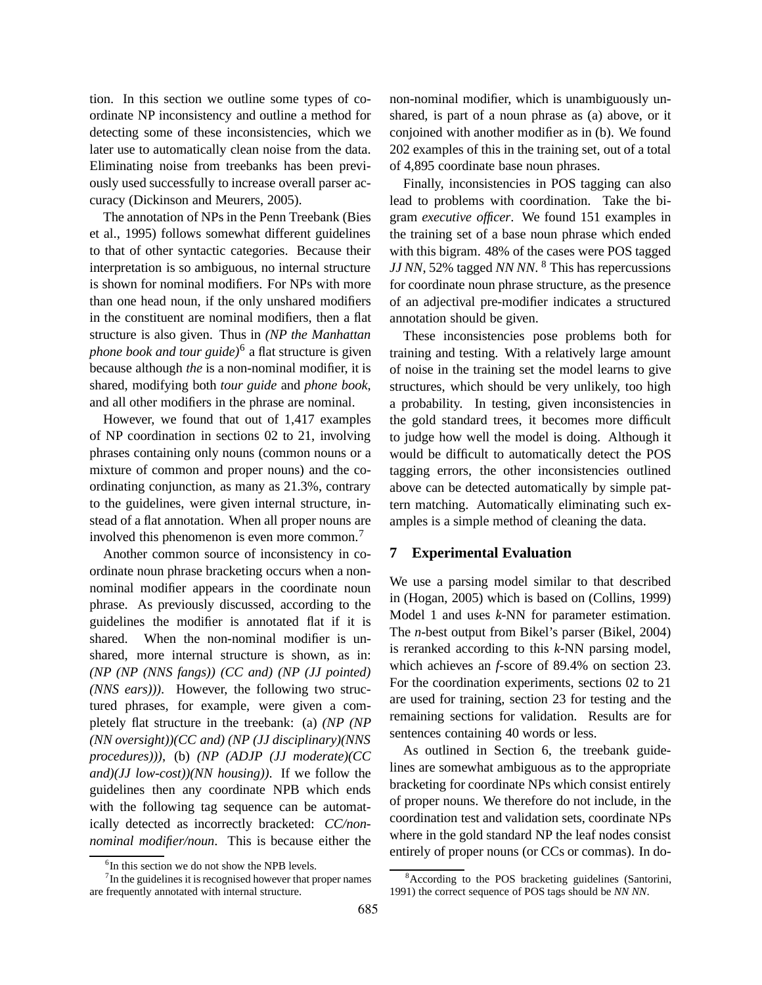tion. In this section we outline some types of coordinate NP inconsistency and outline a method for detecting some of these inconsistencies, which we later use to automatically clean noise from the data. Eliminating noise from treebanks has been previously used successfully to increase overall parser accuracy (Dickinson and Meurers, 2005).

The annotation of NPs in the Penn Treebank (Bies et al., 1995) follows somewhat different guidelines to that of other syntactic categories. Because their interpretation is so ambiguous, no internal structure is shown for nominal modifiers. For NPs with more than one head noun, if the only unshared modifiers in the constituent are nominal modifiers, then a flat structure is also given. Thus in *(NP the Manhattan phone book and tour guide)*<sup>6</sup> a flat structure is given because although *the* is a non-nominal modifier, it is shared, modifying both *tour guide* and *phone book*, and all other modifiers in the phrase are nominal.

However, we found that out of 1,417 examples of NP coordination in sections 02 to 21, involving phrases containing only nouns (common nouns or a mixture of common and proper nouns) and the coordinating conjunction, as many as 21.3%, contrary to the guidelines, were given internal structure, instead of a flat annotation. When all proper nouns are involved this phenomenon is even more common.<sup>7</sup>

Another common source of inconsistency in coordinate noun phrase bracketing occurs when a nonnominal modifier appears in the coordinate noun phrase. As previously discussed, according to the guidelines the modifier is annotated flat if it is shared. When the non-nominal modifier is unshared, more internal structure is shown, as in: *(NP (NP (NNS fangs)) (CC and) (NP (JJ pointed) (NNS ears)))*. However, the following two structured phrases, for example, were given a completely flat structure in the treebank: (a) *(NP (NP (NN oversight))(CC and) (NP (JJ disciplinary)(NNS procedures)))*, (b) *(NP (ADJP (JJ moderate)(CC and)(JJ low-cost))(NN housing))*. If we follow the guidelines then any coordinate NPB which ends with the following tag sequence can be automatically detected as incorrectly bracketed: *CC/nonnominal modifier/noun*. This is because either the

non-nominal modifier, which is unambiguously unshared, is part of a noun phrase as (a) above, or it conjoined with another modifier as in (b). We found 202 examples of this in the training set, out of a total of 4,895 coordinate base noun phrases.

Finally, inconsistencies in POS tagging can also lead to problems with coordination. Take the bigram *executive officer*. We found 151 examples in the training set of a base noun phrase which ended with this bigram. 48% of the cases were POS tagged *JJ NN*, 52% tagged *NN NN*. <sup>8</sup> This has repercussions for coordinate noun phrase structure, as the presence of an adjectival pre-modifier indicates a structured annotation should be given.

These inconsistencies pose problems both for training and testing. With a relatively large amount of noise in the training set the model learns to give structures, which should be very unlikely, too high a probability. In testing, given inconsistencies in the gold standard trees, it becomes more difficult to judge how well the model is doing. Although it would be difficult to automatically detect the POS tagging errors, the other inconsistencies outlined above can be detected automatically by simple pattern matching. Automatically eliminating such examples is a simple method of cleaning the data.

### **7 Experimental Evaluation**

We use a parsing model similar to that described in (Hogan, 2005) which is based on (Collins, 1999) Model 1 and uses *k*-NN for parameter estimation. The *n*-best output from Bikel's parser (Bikel, 2004) is reranked according to this *k*-NN parsing model, which achieves an *f*-score of 89.4% on section 23. For the coordination experiments, sections 02 to 21 are used for training, section 23 for testing and the remaining sections for validation. Results are for sentences containing 40 words or less.

As outlined in Section 6, the treebank guidelines are somewhat ambiguous as to the appropriate bracketing for coordinate NPs which consist entirely of proper nouns. We therefore do not include, in the coordination test and validation sets, coordinate NPs where in the gold standard NP the leaf nodes consist entirely of proper nouns (or CCs or commas). In do-

<sup>&</sup>lt;sup>6</sup>In this section we do not show the NPB levels.

 $7$ In the guidelines it is recognised however that proper names are frequently annotated with internal structure.

<sup>&</sup>lt;sup>8</sup>According to the POS bracketing guidelines (Santorini, 1991) the correct sequence of POS tags should be *NN NN*.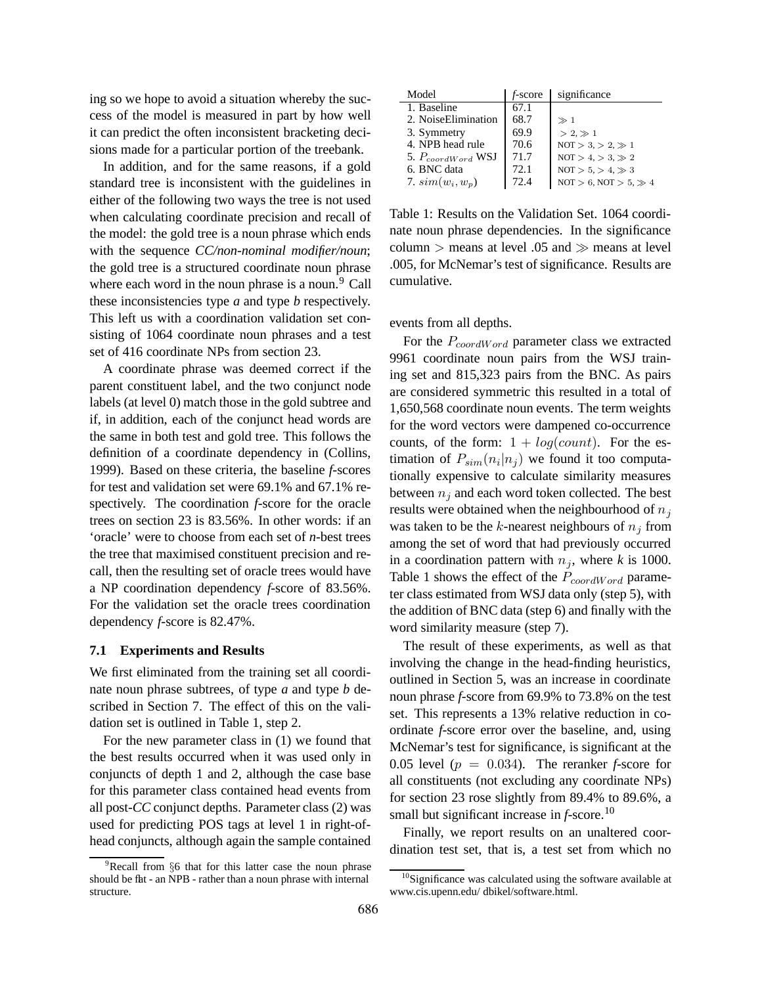ing so we hope to avoid a situation whereby the success of the model is measured in part by how well it can predict the often inconsistent bracketing decisions made for a particular portion of the treebank.

In addition, and for the same reasons, if a gold standard tree is inconsistent with the guidelines in either of the following two ways the tree is not used when calculating coordinate precision and recall of the model: the gold tree is a noun phrase which ends with the sequence *CC/non-nominal modifier/noun*; the gold tree is a structured coordinate noun phrase where each word in the noun phrase is a noun.<sup>9</sup> Call these inconsistencies type *a* and type *b* respectively. This left us with a coordination validation set consisting of 1064 coordinate noun phrases and a test set of 416 coordinate NPs from section 23.

A coordinate phrase was deemed correct if the parent constituent label, and the two conjunct node labels (at level 0) match those in the gold subtree and if, in addition, each of the conjunct head words are the same in both test and gold tree. This follows the definition of a coordinate dependency in (Collins, 1999). Based on these criteria, the baseline *f*-scores for test and validation set were 69.1% and 67.1% respectively. The coordination *f*-score for the oracle trees on section 23 is 83.56%. In other words: if an 'oracle' were to choose from each set of *n*-best trees the tree that maximised constituent precision and recall, then the resulting set of oracle trees would have a NP coordination dependency *f*-score of 83.56%. For the validation set the oracle trees coordination dependency *f*-score is 82.47%.

#### **7.1 Experiments and Results**

We first eliminated from the training set all coordinate noun phrase subtrees, of type *a* and type *b* described in Section 7. The effect of this on the validation set is outlined in Table 1, step 2.

For the new parameter class in (1) we found that the best results occurred when it was used only in conjuncts of depth 1 and 2, although the case base for this parameter class contained head events from all post-*CC* conjunct depths. Parameter class (2) was used for predicting POS tags at level 1 in right-ofhead conjuncts, although again the sample contained

| Model                  | $f$ -score | significance                    |
|------------------------|------------|---------------------------------|
| 1. Baseline            | 67.1       |                                 |
| 2. NoiseElimination    | 68.7       | $\gg 1$                         |
| 3. Symmetry            | 69.9       | $> 2.$ $\gg 1$                  |
| 4. NPB head rule       | 70.6       | $NOT > 3. > 2. \gg 1$           |
| 5. $P_{coordWord}$ WSJ | 71.7       | $NOT > 4. > 3. \gg 2$           |
| 6. BNC data            | 72.1       | $NOT > 5, > 4, \gg 3$           |
| 7. $sim(w_i, w_p)$     | 72.4       | $NOT > 6$ , $NOT > 5$ , $\gg 4$ |

Table 1: Results on the Validation Set. 1064 coordinate noun phrase dependencies. In the significance column  $>$  means at level .05 and  $\gg$  means at level .005, for McNemar's test of significance. Results are cumulative.

events from all depths.

For the  $P_{coordWord}$  parameter class we extracted 9961 coordinate noun pairs from the WSJ training set and 815,323 pairs from the BNC. As pairs are considered symmetric this resulted in a total of 1,650,568 coordinate noun events. The term weights for the word vectors were dampened co-occurrence counts, of the form:  $1 + log(count)$ . For the estimation of  $P_{sim}(n_i|n_j)$  we found it too computationally expensive to calculate similarity measures between  $n_i$  and each word token collected. The best results were obtained when the neighbourhood of  $n_j$ was taken to be the k-nearest neighbours of  $n_j$  from among the set of word that had previously occurred in a coordination pattern with  $n_j$ , where *k* is 1000. Table 1 shows the effect of the  $P_{coordWord}$  parameter class estimated from WSJ data only (step 5), with the addition of BNC data (step 6) and finally with the word similarity measure (step 7).

The result of these experiments, as well as that involving the change in the head-finding heuristics, outlined in Section 5, was an increase in coordinate noun phrase *f*-score from 69.9% to 73.8% on the test set. This represents a 13% relative reduction in coordinate *f*-score error over the baseline, and, using McNemar's test for significance, is significant at the 0.05 level ( $p = 0.034$ ). The reranker *f*-score for all constituents (not excluding any coordinate NPs) for section 23 rose slightly from 89.4% to 89.6%, a small but significant increase in *f*-score.<sup>10</sup>

Finally, we report results on an unaltered coordination test set, that is, a test set from which no

<sup>&</sup>lt;sup>9</sup>Recall from §6 that for this latter case the noun phrase should be flat - an NPB - rather than a noun phrase with internal structure.

<sup>&</sup>lt;sup>10</sup>Significance was calculated using the software available at www.cis.upenn.edu/ dbikel/software.html.